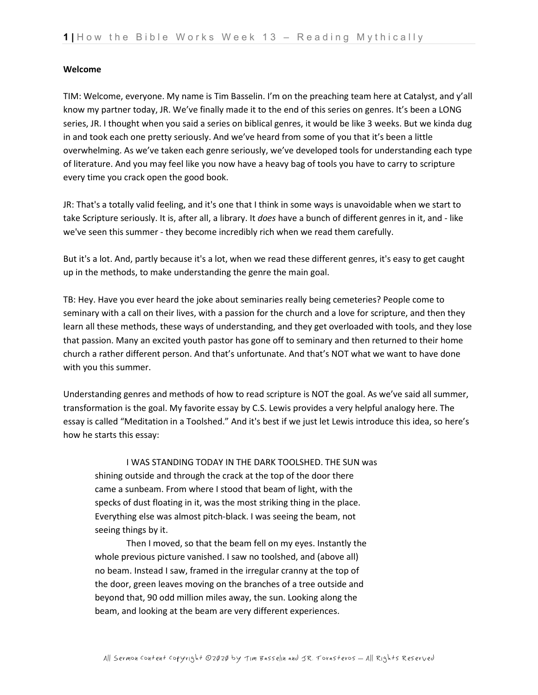## **Welcome**

TIM: Welcome, everyone. My name is Tim Basselin. I'm on the preaching team here at Catalyst, and y'all know my partner today, JR. We've finally made it to the end of this series on genres. It's been a LONG series, JR. I thought when you said a series on biblical genres, it would be like 3 weeks. But we kinda dug in and took each one pretty seriously. And we've heard from some of you that it's been a little overwhelming. As we've taken each genre seriously, we've developed tools for understanding each type of literature. And you may feel like you now have a heavy bag of tools you have to carry to scripture every time you crack open the good book.

JR: That's a totally valid feeling, and it's one that I think in some ways is unavoidable when we start to take Scripture seriously. It is, after all, a library. It *does* have a bunch of different genres in it, and - like we've seen this summer - they become incredibly rich when we read them carefully.

But it's a lot. And, partly because it's a lot, when we read these different genres, it's easy to get caught up in the methods, to make understanding the genre the main goal.

TB: Hey. Have you ever heard the joke about seminaries really being cemeteries? People come to seminary with a call on their lives, with a passion for the church and a love for scripture, and then they learn all these methods, these ways of understanding, and they get overloaded with tools, and they lose that passion. Many an excited youth pastor has gone off to seminary and then returned to their home church a rather different person. And that's unfortunate. And that's NOT what we want to have done with you this summer.

Understanding genres and methods of how to read scripture is NOT the goal. As we've said all summer, transformation is the goal. My favorite essay by C.S. Lewis provides a very helpful analogy here. The essay is called "Meditation in a Toolshed." And it's best if we just let Lewis introduce this idea, so here's how he starts this essay:

I WAS STANDING TODAY IN THE DARK TOOLSHED. THE SUN was shining outside and through the crack at the top of the door there came a sunbeam. From where I stood that beam of light, with the specks of dust floating in it, was the most striking thing in the place. Everything else was almost pitch-black. I was seeing the beam, not seeing things by it.

Then I moved, so that the beam fell on my eyes. Instantly the whole previous picture vanished. I saw no toolshed, and (above all) no beam. Instead I saw, framed in the irregular cranny at the top of the door, green leaves moving on the branches of a tree outside and beyond that, 90 odd million miles away, the sun. Looking along the beam, and looking at the beam are very different experiences.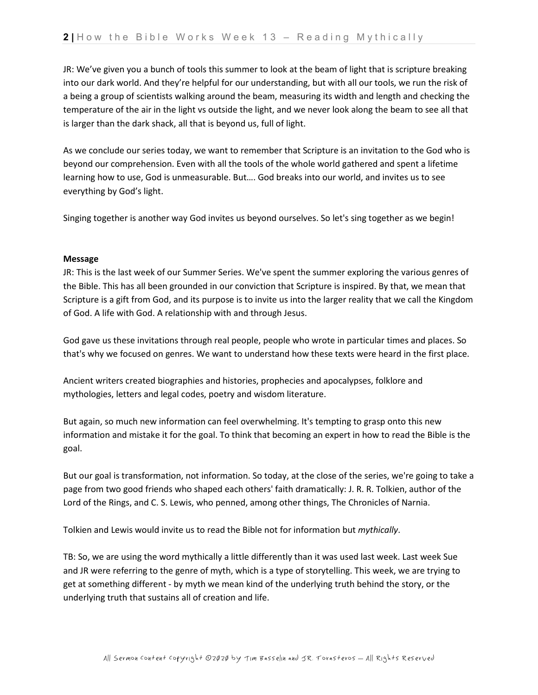JR: We've given you a bunch of tools this summer to look at the beam of light that is scripture breaking into our dark world. And they're helpful for our understanding, but with all our tools, we run the risk of a being a group of scientists walking around the beam, measuring its width and length and checking the temperature of the air in the light vs outside the light, and we never look along the beam to see all that is larger than the dark shack, all that is beyond us, full of light.

As we conclude our series today, we want to remember that Scripture is an invitation to the God who is beyond our comprehension. Even with all the tools of the whole world gathered and spent a lifetime learning how to use, God is unmeasurable. But…. God breaks into our world, and invites us to see everything by God's light.

Singing together is another way God invites us beyond ourselves. So let's sing together as we begin!

## **Message**

JR: This is the last week of our Summer Series. We've spent the summer exploring the various genres of the Bible. This has all been grounded in our conviction that Scripture is inspired. By that, we mean that Scripture is a gift from God, and its purpose is to invite us into the larger reality that we call the Kingdom of God. A life with God. A relationship with and through Jesus.

God gave us these invitations through real people, people who wrote in particular times and places. So that's why we focused on genres. We want to understand how these texts were heard in the first place.

Ancient writers created biographies and histories, prophecies and apocalypses, folklore and mythologies, letters and legal codes, poetry and wisdom literature.

But again, so much new information can feel overwhelming. It's tempting to grasp onto this new information and mistake it for the goal. To think that becoming an expert in how to read the Bible is the goal.

But our goal is transformation, not information. So today, at the close of the series, we're going to take a page from two good friends who shaped each others' faith dramatically: J. R. R. Tolkien, author of the Lord of the Rings, and C. S. Lewis, who penned, among other things, The Chronicles of Narnia.

Tolkien and Lewis would invite us to read the Bible not for information but *mythically*.

TB: So, we are using the word mythically a little differently than it was used last week. Last week Sue and JR were referring to the genre of myth, which is a type of storytelling. This week, we are trying to get at something different - by myth we mean kind of the underlying truth behind the story, or the underlying truth that sustains all of creation and life.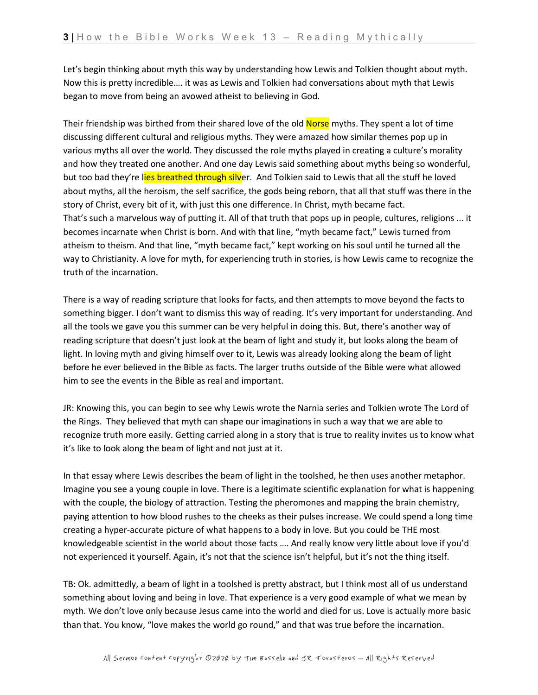Let's begin thinking about myth this way by understanding how Lewis and Tolkien thought about myth. Now this is pretty incredible…. it was as Lewis and Tolkien had conversations about myth that Lewis began to move from being an avowed atheist to believing in God.

Their friendship was birthed from their shared love of the old **Norse** myths. They spent a lot of time discussing different cultural and religious myths. They were amazed how similar themes pop up in various myths all over the world. They discussed the role myths played in creating a culture's morality and how they treated one another. And one day Lewis said something about myths being so wonderful, but too bad they're lies breathed through silver. And Tolkien said to Lewis that all the stuff he loved about myths, all the heroism, the self sacrifice, the gods being reborn, that all that stuff was there in the story of Christ, every bit of it, with just this one difference. In Christ, myth became fact. That's such a marvelous way of putting it. All of that truth that pops up in people, cultures, religions ... it becomes incarnate when Christ is born. And with that line, "myth became fact," Lewis turned from atheism to theism. And that line, "myth became fact," kept working on his soul until he turned all the way to Christianity. A love for myth, for experiencing truth in stories, is how Lewis came to recognize the truth of the incarnation.

There is a way of reading scripture that looks for facts, and then attempts to move beyond the facts to something bigger. I don't want to dismiss this way of reading. It's very important for understanding. And all the tools we gave you this summer can be very helpful in doing this. But, there's another way of reading scripture that doesn't just look at the beam of light and study it, but looks along the beam of light. In loving myth and giving himself over to it, Lewis was already looking along the beam of light before he ever believed in the Bible as facts. The larger truths outside of the Bible were what allowed him to see the events in the Bible as real and important.

JR: Knowing this, you can begin to see why Lewis wrote the Narnia series and Tolkien wrote The Lord of the Rings. They believed that myth can shape our imaginations in such a way that we are able to recognize truth more easily. Getting carried along in a story that is true to reality invites us to know what it's like to look along the beam of light and not just at it.

In that essay where Lewis describes the beam of light in the toolshed, he then uses another metaphor. Imagine you see a young couple in love. There is a legitimate scientific explanation for what is happening with the couple, the biology of attraction. Testing the pheromones and mapping the brain chemistry, paying attention to how blood rushes to the cheeks as their pulses increase. We could spend a long time creating a hyper-accurate picture of what happens to a body in love. But you could be THE most knowledgeable scientist in the world about those facts …. And really know very little about love if you'd not experienced it yourself. Again, it's not that the science isn't helpful, but it's not the thing itself.

TB: Ok. admittedly, a beam of light in a toolshed is pretty abstract, but I think most all of us understand something about loving and being in love. That experience is a very good example of what we mean by myth. We don't love only because Jesus came into the world and died for us. Love is actually more basic than that. You know, "love makes the world go round," and that was true before the incarnation.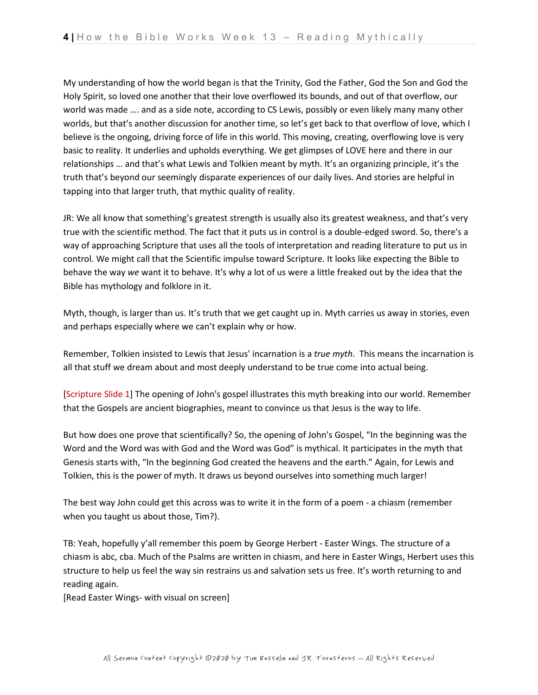My understanding of how the world began is that the Trinity, God the Father, God the Son and God the Holy Spirit, so loved one another that their love overflowed its bounds, and out of that overflow, our world was made …. and as a side note, according to CS Lewis, possibly or even likely many many other worlds, but that's another discussion for another time, so let's get back to that overflow of love, which I believe is the ongoing, driving force of life in this world. This moving, creating, overflowing love is very basic to reality. It underlies and upholds everything. We get glimpses of LOVE here and there in our relationships … and that's what Lewis and Tolkien meant by myth. It's an organizing principle, it's the truth that's beyond our seemingly disparate experiences of our daily lives. And stories are helpful in tapping into that larger truth, that mythic quality of reality.

JR: We all know that something's greatest strength is usually also its greatest weakness, and that's very true with the scientific method. The fact that it puts us in control is a double-edged sword. So, there's a way of approaching Scripture that uses all the tools of interpretation and reading literature to put us in control. We might call that the Scientific impulse toward Scripture. It looks like expecting the Bible to behave the way *we* want it to behave. It's why a lot of us were a little freaked out by the idea that the Bible has mythology and folklore in it.

Myth, though, is larger than us. It's truth that we get caught up in. Myth carries us away in stories, even and perhaps especially where we can't explain why or how.

Remember, Tolkien insisted to Lewis that Jesus' incarnation is a *true myth*. This means the incarnation is all that stuff we dream about and most deeply understand to be true come into actual being.

[Scripture Slide 1] The opening of John's gospel illustrates this myth breaking into our world. Remember that the Gospels are ancient biographies, meant to convince us that Jesus is the way to life.

But how does one prove that scientifically? So, the opening of John's Gospel, "In the beginning was the Word and the Word was with God and the Word was God" is mythical. It participates in the myth that Genesis starts with, "In the beginning God created the heavens and the earth." Again, for Lewis and Tolkien, this is the power of myth. It draws us beyond ourselves into something much larger!

The best way John could get this across was to write it in the form of a poem - a chiasm (remember when you taught us about those, Tim?).

TB: Yeah, hopefully y'all remember this poem by George Herbert - Easter Wings. The structure of a chiasm is abc, cba. Much of the Psalms are written in chiasm, and here in Easter Wings, Herbert uses this structure to help us feel the way sin restrains us and salvation sets us free. It's worth returning to and reading again.

[Read Easter Wings- with visual on screen]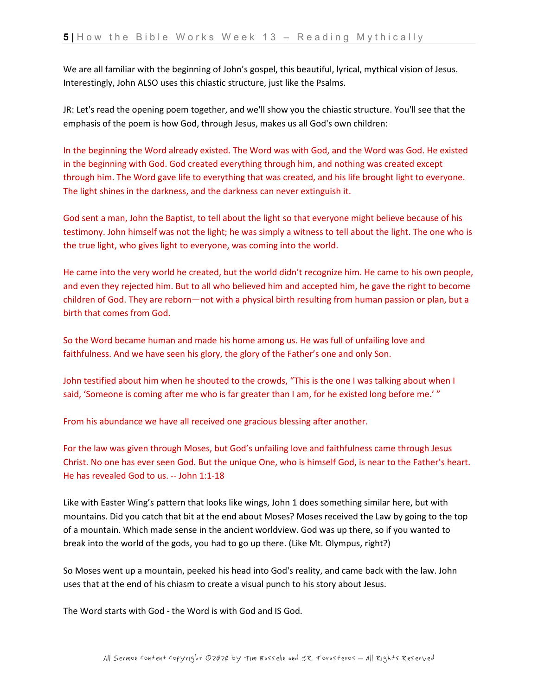We are all familiar with the beginning of John's gospel, this beautiful, lyrical, mythical vision of Jesus. Interestingly, John ALSO uses this chiastic structure, just like the Psalms.

JR: Let's read the opening poem together, and we'll show you the chiastic structure. You'll see that the emphasis of the poem is how God, through Jesus, makes us all God's own children:

In the beginning the Word already existed. The Word was with God, and the Word was God. He existed in the beginning with God. God created everything through him, and nothing was created except through him. The Word gave life to everything that was created, and his life brought light to everyone. The light shines in the darkness, and the darkness can never extinguish it.

God sent a man, John the Baptist, to tell about the light so that everyone might believe because of his testimony. John himself was not the light; he was simply a witness to tell about the light. The one who is the true light, who gives light to everyone, was coming into the world.

He came into the very world he created, but the world didn't recognize him. He came to his own people, and even they rejected him. But to all who believed him and accepted him, he gave the right to become children of God. They are reborn—not with a physical birth resulting from human passion or plan, but a birth that comes from God.

So the Word became human and made his home among us. He was full of unfailing love and faithfulness. And we have seen his glory, the glory of the Father's one and only Son.

John testified about him when he shouted to the crowds, "This is the one I was talking about when I said, 'Someone is coming after me who is far greater than I am, for he existed long before me.' "

From his abundance we have all received one gracious blessing after another.

For the law was given through Moses, but God's unfailing love and faithfulness came through Jesus Christ. No one has ever seen God. But the unique One, who is himself God, is near to the Father's heart. He has revealed God to us. -- John 1:1-18

Like with Easter Wing's pattern that looks like wings, John 1 does something similar here, but with mountains. Did you catch that bit at the end about Moses? Moses received the Law by going to the top of a mountain. Which made sense in the ancient worldview. God was up there, so if you wanted to break into the world of the gods, you had to go up there. (Like Mt. Olympus, right?)

So Moses went up a mountain, peeked his head into God's reality, and came back with the law. John uses that at the end of his chiasm to create a visual punch to his story about Jesus.

The Word starts with God - the Word is with God and IS God.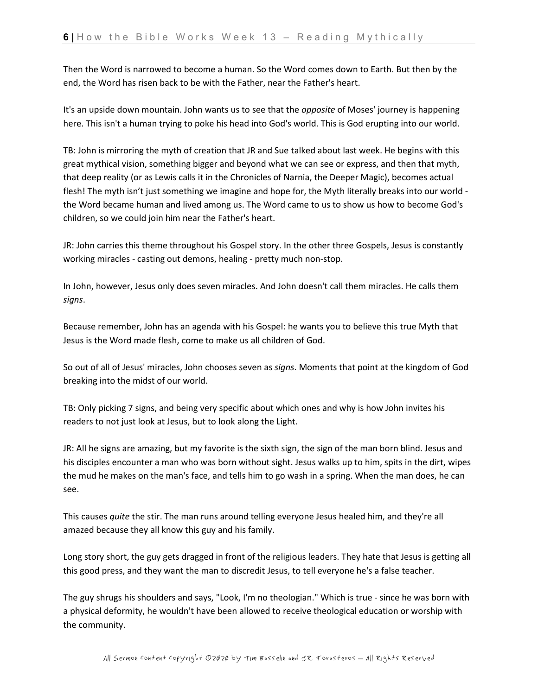Then the Word is narrowed to become a human. So the Word comes down to Earth. But then by the end, the Word has risen back to be with the Father, near the Father's heart.

It's an upside down mountain. John wants us to see that the *opposite* of Moses' journey is happening here. This isn't a human trying to poke his head into God's world. This is God erupting into our world.

TB: John is mirroring the myth of creation that JR and Sue talked about last week. He begins with this great mythical vision, something bigger and beyond what we can see or express, and then that myth, that deep reality (or as Lewis calls it in the Chronicles of Narnia, the Deeper Magic), becomes actual flesh! The myth isn't just something we imagine and hope for, the Myth literally breaks into our world the Word became human and lived among us. The Word came to us to show us how to become God's children, so we could join him near the Father's heart.

JR: John carries this theme throughout his Gospel story. In the other three Gospels, Jesus is constantly working miracles - casting out demons, healing - pretty much non-stop.

In John, however, Jesus only does seven miracles. And John doesn't call them miracles. He calls them *signs*.

Because remember, John has an agenda with his Gospel: he wants you to believe this true Myth that Jesus is the Word made flesh, come to make us all children of God.

So out of all of Jesus' miracles, John chooses seven as *signs*. Moments that point at the kingdom of God breaking into the midst of our world.

TB: Only picking 7 signs, and being very specific about which ones and why is how John invites his readers to not just look at Jesus, but to look along the Light.

JR: All he signs are amazing, but my favorite is the sixth sign, the sign of the man born blind. Jesus and his disciples encounter a man who was born without sight. Jesus walks up to him, spits in the dirt, wipes the mud he makes on the man's face, and tells him to go wash in a spring. When the man does, he can see.

This causes *quite* the stir. The man runs around telling everyone Jesus healed him, and they're all amazed because they all know this guy and his family.

Long story short, the guy gets dragged in front of the religious leaders. They hate that Jesus is getting all this good press, and they want the man to discredit Jesus, to tell everyone he's a false teacher.

The guy shrugs his shoulders and says, "Look, I'm no theologian." Which is true - since he was born with a physical deformity, he wouldn't have been allowed to receive theological education or worship with the community.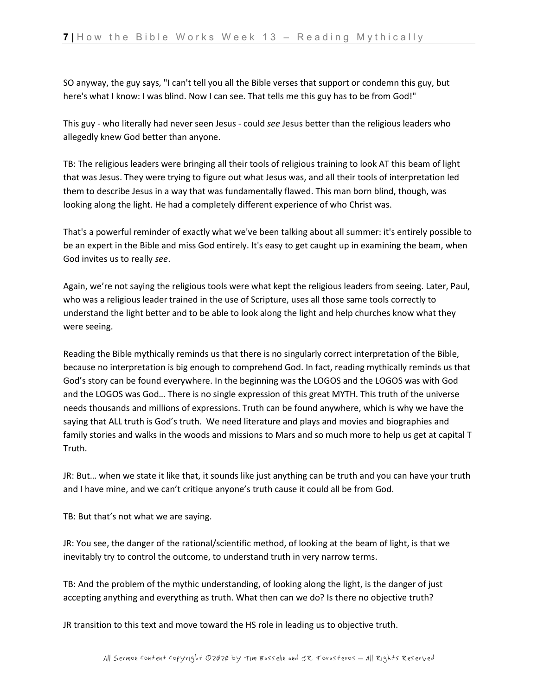SO anyway, the guy says, "I can't tell you all the Bible verses that support or condemn this guy, but here's what I know: I was blind. Now I can see. That tells me this guy has to be from God!"

This guy - who literally had never seen Jesus - could *see* Jesus better than the religious leaders who allegedly knew God better than anyone.

TB: The religious leaders were bringing all their tools of religious training to look AT this beam of light that was Jesus. They were trying to figure out what Jesus was, and all their tools of interpretation led them to describe Jesus in a way that was fundamentally flawed. This man born blind, though, was looking along the light. He had a completely different experience of who Christ was.

That's a powerful reminder of exactly what we've been talking about all summer: it's entirely possible to be an expert in the Bible and miss God entirely. It's easy to get caught up in examining the beam, when God invites us to really *see*.

Again, we're not saying the religious tools were what kept the religious leaders from seeing. Later, Paul, who was a religious leader trained in the use of Scripture, uses all those same tools correctly to understand the light better and to be able to look along the light and help churches know what they were seeing.

Reading the Bible mythically reminds us that there is no singularly correct interpretation of the Bible, because no interpretation is big enough to comprehend God. In fact, reading mythically reminds us that God's story can be found everywhere. In the beginning was the LOGOS and the LOGOS was with God and the LOGOS was God… There is no single expression of this great MYTH. This truth of the universe needs thousands and millions of expressions. Truth can be found anywhere, which is why we have the saying that ALL truth is God's truth. We need literature and plays and movies and biographies and family stories and walks in the woods and missions to Mars and so much more to help us get at capital T Truth.

JR: But… when we state it like that, it sounds like just anything can be truth and you can have your truth and I have mine, and we can't critique anyone's truth cause it could all be from God.

TB: But that's not what we are saying.

JR: You see, the danger of the rational/scientific method, of looking at the beam of light, is that we inevitably try to control the outcome, to understand truth in very narrow terms.

TB: And the problem of the mythic understanding, of looking along the light, is the danger of just accepting anything and everything as truth. What then can we do? Is there no objective truth?

JR transition to this text and move toward the HS role in leading us to objective truth.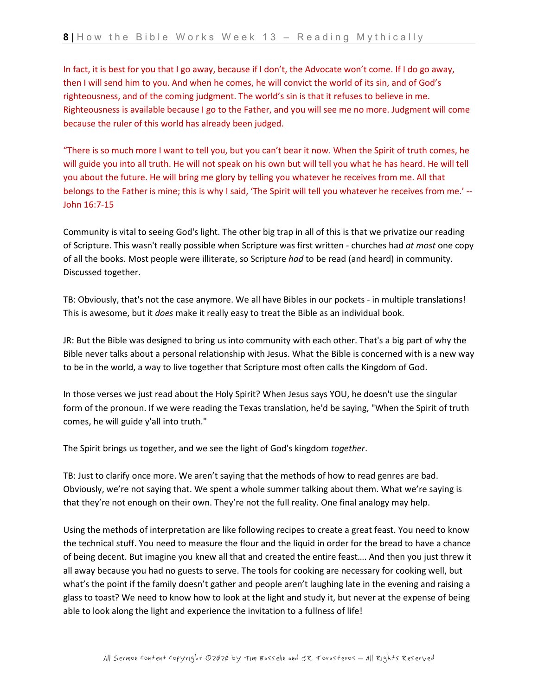In fact, it is best for you that I go away, because if I don't, the Advocate won't come. If I do go away, then I will send him to you. And when he comes, he will convict the world of its sin, and of God's righteousness, and of the coming judgment. The world's sin is that it refuses to believe in me. Righteousness is available because I go to the Father, and you will see me no more. Judgment will come because the ruler of this world has already been judged.

"There is so much more I want to tell you, but you can't bear it now. When the Spirit of truth comes, he will guide you into all truth. He will not speak on his own but will tell you what he has heard. He will tell you about the future. He will bring me glory by telling you whatever he receives from me. All that belongs to the Father is mine; this is why I said, 'The Spirit will tell you whatever he receives from me.' -- John 16:7-15

Community is vital to seeing God's light. The other big trap in all of this is that we privatize our reading of Scripture. This wasn't really possible when Scripture was first written - churches had *at most* one copy of all the books. Most people were illiterate, so Scripture *had* to be read (and heard) in community. Discussed together.

TB: Obviously, that's not the case anymore. We all have Bibles in our pockets - in multiple translations! This is awesome, but it *does* make it really easy to treat the Bible as an individual book.

JR: But the Bible was designed to bring us into community with each other. That's a big part of why the Bible never talks about a personal relationship with Jesus. What the Bible is concerned with is a new way to be in the world, a way to live together that Scripture most often calls the Kingdom of God.

In those verses we just read about the Holy Spirit? When Jesus says YOU, he doesn't use the singular form of the pronoun. If we were reading the Texas translation, he'd be saying, "When the Spirit of truth comes, he will guide y'all into truth."

The Spirit brings us together, and we see the light of God's kingdom *together*.

TB: Just to clarify once more. We aren't saying that the methods of how to read genres are bad. Obviously, we're not saying that. We spent a whole summer talking about them. What we're saying is that they're not enough on their own. They're not the full reality. One final analogy may help.

Using the methods of interpretation are like following recipes to create a great feast. You need to know the technical stuff. You need to measure the flour and the liquid in order for the bread to have a chance of being decent. But imagine you knew all that and created the entire feast…. And then you just threw it all away because you had no guests to serve. The tools for cooking are necessary for cooking well, but what's the point if the family doesn't gather and people aren't laughing late in the evening and raising a glass to toast? We need to know how to look at the light and study it, but never at the expense of being able to look along the light and experience the invitation to a fullness of life!